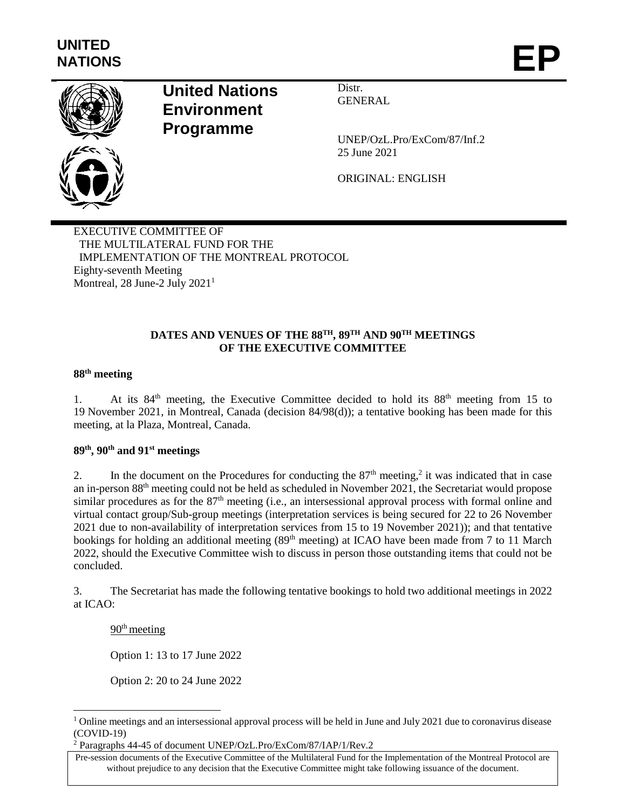

# **United Nations Environment Programme**

Distr. **GENERAL** 

UNEP/OzL.Pro/ExCom/87/Inf.2 25 June 2021

ORIGINAL: ENGLISH

EXECUTIVE COMMITTEE OF THE MULTILATERAL FUND FOR THE IMPLEMENTATION OF THE MONTREAL PROTOCOL Eighty-seventh Meeting Montreal, 28 June-2 July 2021<sup>1</sup>

### **DATES AND VENUES OF THE 88 TH, 89 TH AND 90TH MEETINGS OF THE EXECUTIVE COMMITTEE**

## **88th meeting**

1. At its 84<sup>th</sup> meeting, the Executive Committee decided to hold its 88<sup>th</sup> meeting from 15 to 19 November 2021, in Montreal, Canada (decision 84/98(d)); a tentative booking has been made for this meeting, at la Plaza, Montreal, Canada.

#### **89th , 90th and 91st meetings**

2. In the document on the Procedures for conducting the  $87<sup>th</sup>$  meeting,<sup>2</sup> it was indicated that in case an in-person 88th meeting could not be held as scheduled in November 2021, the Secretariat would propose similar procedures as for the 87<sup>th</sup> meeting (i.e., an intersessional approval process with formal online and virtual contact group/Sub-group meetings (interpretation services is being secured for 22 to 26 November 2021 due to non-availability of interpretation services from 15 to 19 November 2021)); and that tentative bookings for holding an additional meeting (89<sup>th</sup> meeting) at ICAO have been made from 7 to 11 March 2022, should the Executive Committee wish to discuss in person those outstanding items that could not be concluded.

3. The Secretariat has made the following tentative bookings to hold two additional meetings in 2022 at ICAO:

 $90<sup>th</sup>$  meeting

l

Option 1: 13 to 17 June 2022

Option 2: 20 to 24 June 2022

<sup>2</sup> Paragraphs 44-45 of document UNEP/OzL.Pro/ExCom/87/IAP/1/Rev.2

 $1$  Online meetings and an intersessional approval process will be held in June and July 2021 due to coronavirus disease (COVID-19)

Pre-session documents of the Executive Committee of the Multilateral Fund for the Implementation of the Montreal Protocol are without prejudice to any decision that the Executive Committee might take following issuance of the document.